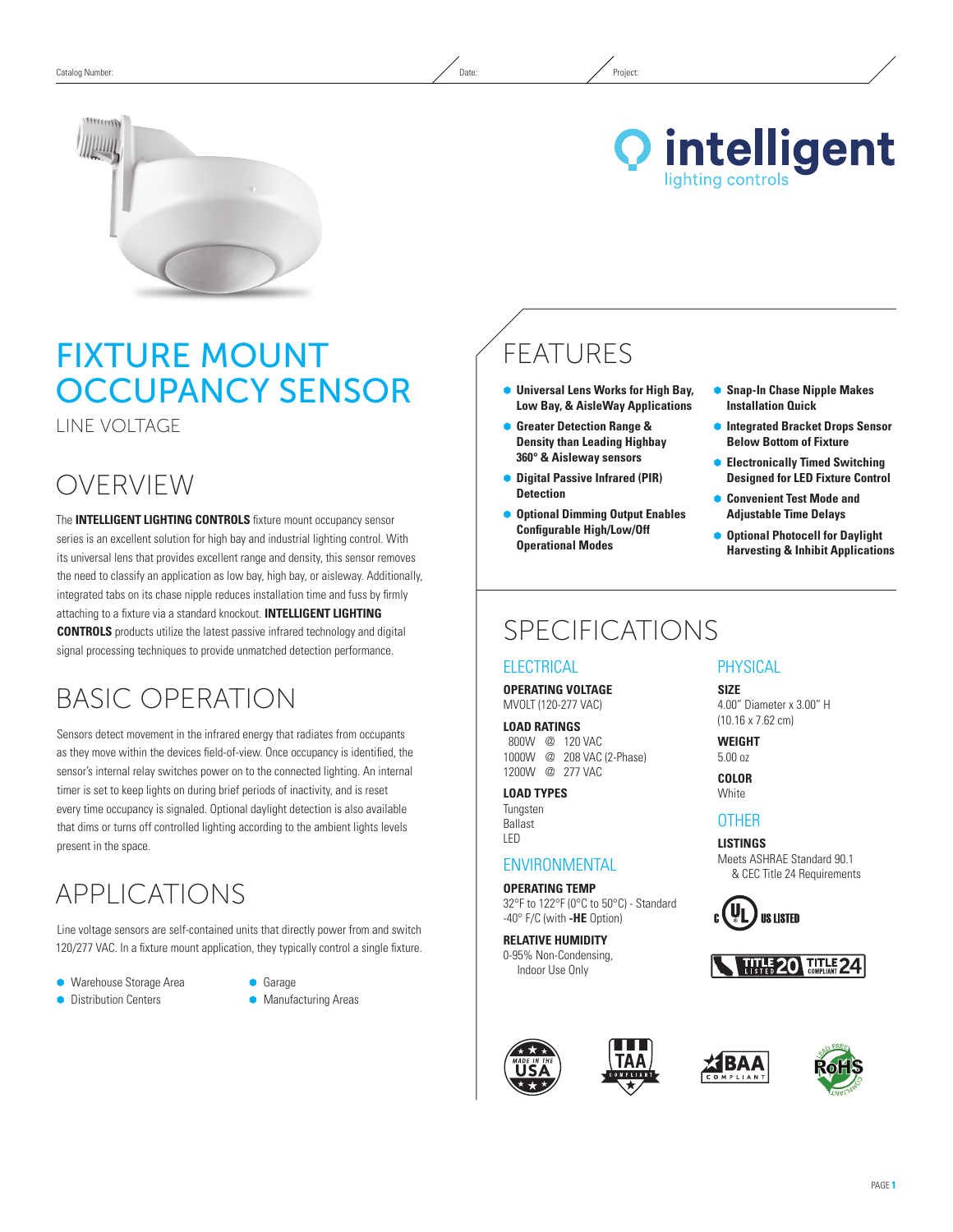



# Fixture Mount Occupancy Sensor

Line Voltage

### OVERVIEW

The **INTELLIGENT LIGHTING CONTROLS** fixture mount occupancy sensor series is an excellent solution for high bay and industrial lighting control. With its universal lens that provides excellent range and density, this sensor removes the need to classify an application as low bay, high bay, or aisleway. Additionally, integrated tabs on its chase nipple reduces installation time and fuss by firmly attaching to a fixture via a standard knockout. **INTELLIGENT LIGHTING CONTROLS** products utilize the latest passive infrared technology and digital signal processing techniques to provide unmatched detection performance.

# Basic Operation

Sensors detect movement in the infrared energy that radiates from occupants as they move within the devices field-of-view. Once occupancy is identified, the sensor's internal relay switches power on to the connected lighting. An internal timer is set to keep lights on during brief periods of inactivity, and is reset every time occupancy is signaled. Optional daylight detection is also available that dims or turns off controlled lighting according to the ambient lights levels present in the space.

## APPLICATIONS

Line voltage sensors are self-contained units that directly power from and switch 120/277 VAC. In a fixture mount application, they typically control a single fixture.

- **Warehouse Storage Area**
- **•** Distribution Centers
- $\bullet$  Garage
- **Manufacturing Areas**

# FEATURES

- Ã **Universal Lens Works for High Bay, Low Bay, & AisleWay Applications**
- Ã **Greater Detection Range & Density than Leading Highbay 360° & Aisleway sensors**
- Ã **Digital Passive Infrared (PIR) Detection**
- Ã **Optional Dimming Output Enables Configurable High/Low/Off Operational Modes**
- Ã **Snap-In Chase Nipple Makes Installation Quick**
- Ã **Integrated Bracket Drops Sensor Below Bottom of Fixture**
- Ã **Electronically Timed Switching Designed for LED Fixture Control**
- **Convenient Test Mode and Adjustable Time Delays**
- Ã **Optional Photocell for Daylight Harvesting & Inhibit Applications**

### SPECIFICATIONS

### **ELECTRICAL**

**Operating Voltage** MVOLT (120-277 VAC)

**Load Ratings** 800W @ 120 VAC 1000W @ 208 VAC (2-Phase) 1200W @ 277 VAC

**Load Types** Tungsten Ballast LED

### **ENVIRONMENTAL**

**Operating Temp** 32°F to 122°F (0°C to 50°C) - Standard -40° F/C (with **-HE** Option)

**Relative Humidity** 0-95% Non-Condensing, Indoor Use Only







**PHYSICAL** 

**Size** 4.00" Diameter x 3.00" H (10.16 x 7.62 cm)

**Weight**  5.00 oz **Color**

**White** 

### **OTHER**

**Listings** Meets ASHRAE Standard 90.1 & CEC Title 24 Requirements

**TITLE 20 TITLE 24** 

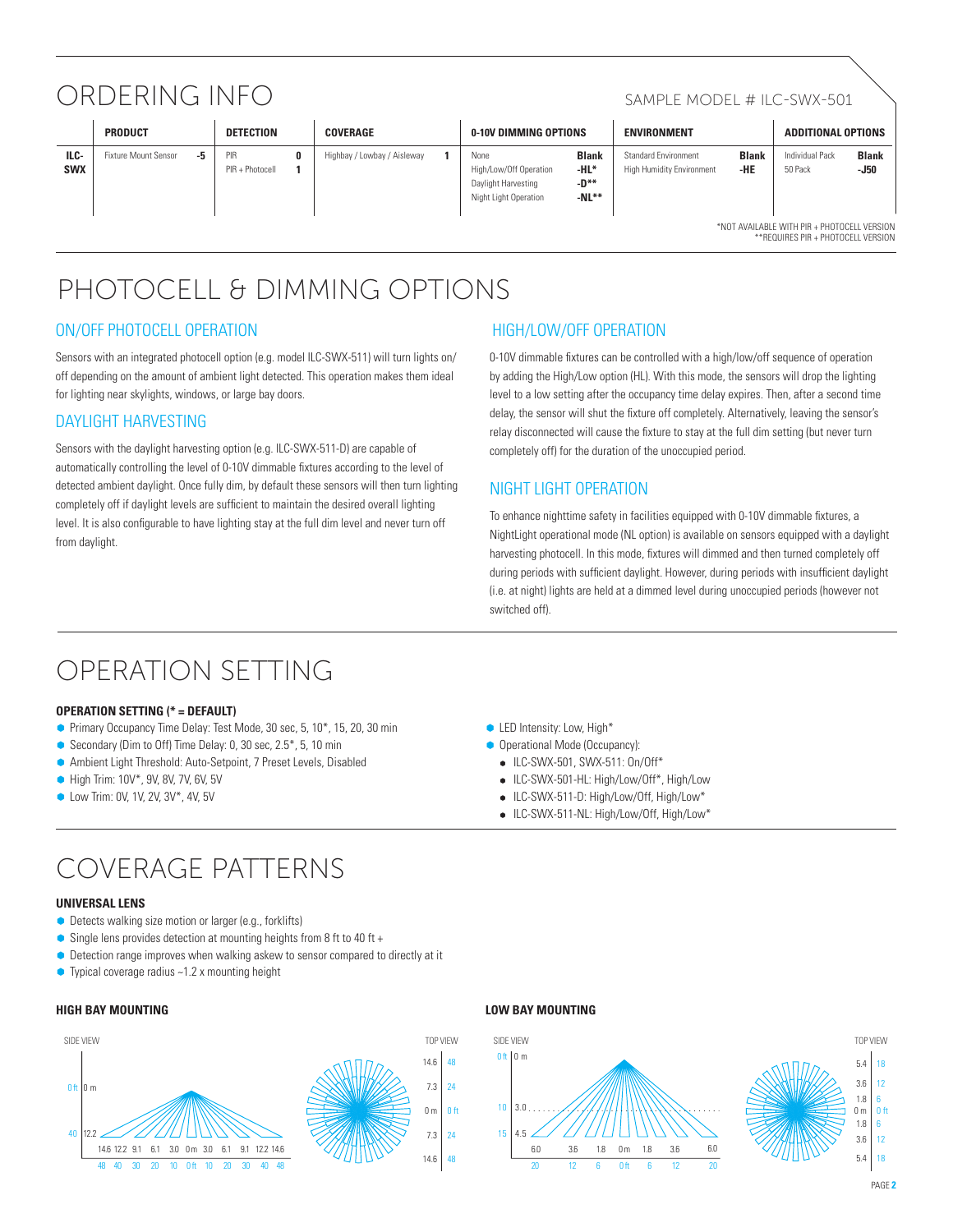## ORDERING INFO SAMPLE MODEL # ILC-SWX-501

|                    | <b>PRODUCT</b>                              |    | DETECTION              |  | COVERAGE                    |  | 0-10V DIMMING OPTIONS                                                          |                                         | <b>ENVIRONMENT</b>                                              |                     | <b>ADDITIONAL OPTIONS</b>  |                      |  |
|--------------------|---------------------------------------------|----|------------------------|--|-----------------------------|--|--------------------------------------------------------------------------------|-----------------------------------------|-----------------------------------------------------------------|---------------------|----------------------------|----------------------|--|
| ILC-<br><b>SWX</b> | Fixture Mount Sensor                        | -5 | PIR<br>PIR + Photocell |  | Highbay / Lowbay / Aisleway |  | None<br>High/Low/Off Operation<br>Daylight Harvesting<br>Night Light Operation | <b>Blank</b><br>-HL*<br>-D**<br>$-NL**$ | <b>Standard Environment</b><br><b>High Humidity Environment</b> | <b>Blank</b><br>-HE | Individual Pack<br>50 Pack | <b>Blank</b><br>-J50 |  |
|                    | *NOT AVAILABLE WITH PIR + PHOTOCELL VERSION |    |                        |  |                             |  |                                                                                |                                         |                                                                 |                     |                            |                      |  |

\*Not available with PIR + PHOTOCELL VERSION \*\*Requires PIR + Photocell version

# PHOTOCELL & DIMMING OPTIONS

### ON/OFF PHOTOCELL OPERATION

Sensors with an integrated photocell option (e.g. model ILC-SWX-511) will turn lights on/ off depending on the amount of ambient light detected. This operation makes them ideal for lighting near skylights, windows, or large bay doors.

### DAYLIGHT HARVESTING

Sensors with the daylight harvesting option (e.g. ILC-SWX-511-D) are capable of automatically controlling the level of 0-10V dimmable fixtures according to the level of detected ambient daylight. Once fully dim, by default these sensors will then turn lighting completely off if daylight levels are sufficient to maintain the desired overall lighting level. It is also configurable to have lighting stay at the full dim level and never turn off from daylight.

### HIGH/LOW/OFf OPERATION

0-10V dimmable fixtures can be controlled with a high/low/off sequence of operation by adding the High/Low option (HL). With this mode, the sensors will drop the lighting level to a low setting after the occupancy time delay expires. Then, after a second time delay, the sensor will shut the fixture off completely. Alternatively, leaving the sensor's relay disconnected will cause the fixture to stay at the full dim setting (but never turn completely off) for the duration of the unoccupied period.

### Night Light OPERATION

To enhance nighttime safety in facilities equipped with 0-10V dimmable fixtures, a NightLight operational mode (NL option) is available on sensors equipped with a daylight harvesting photocell. In this mode, fixtures will dimmed and then turned completely off during periods with sufficient daylight. However, during periods with insufficient daylight (i.e. at night) lights are held at a dimmed level during unoccupied periods (however not switched off).

### Operation Setting

#### **OPERATION SETTING (\* = default)**

- Primary Occupancy Time Delay: Test Mode, 30 sec, 5, 10<sup>\*</sup>, 15, 20, 30 min
- Secondary (Dim to Off) Time Delay: 0, 30 sec, 2.5\*, 5, 10 min
- Ã Ambient Light Threshold: Auto-Setpoint, 7 Preset Levels, Disabled
- High Trim: 10V\*, 9V, 8V, 7V, 6V, 5V
- **C** Low Trim: 0V, 1V, 2V, 3V\*, 4V, 5V
- LED Intensity: Low, High\*
- **Operational Mode (Occupancy):**
- ILC-SWX-501, SWX-511: On/Off\*
- ILC-SWX-501-HL: High/Low/Off\*, High/Low
- ILC-SWX-511-D: High/Low/Off, High/Low\*
- ILC-SWX-511-NL: High/Low/Off, High/Low\*

# Coverage Patterns

#### **Universal lens**

- Detects walking size motion or larger (e.g., forklifts)
- $\bullet$  Single lens provides detection at mounting heights from 8 ft to 40 ft +
- **•** Detection range improves when walking askew to sensor compared to directly at it
- Typical coverage radius ~1.2 x mounting height

#### **High Bay Mounting Low Bay Mounting**